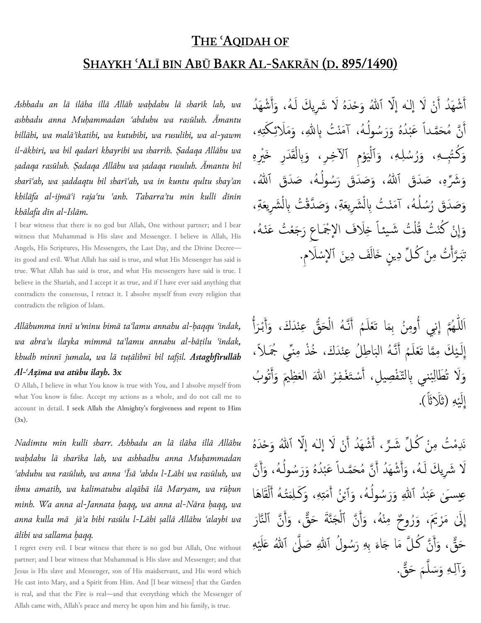## THE 'AQIDAH OF

## SHAYKH ʿALĪ BIN ABŪ BAKR AL-SAKRĀN (D. 895/1490)

Ashhadu an lā ilāha illā Allāh waḥdahu lā sharīk lah, wa ashhadu anna Muḥammadan ʿabduhu wa rasūluh. Āmantu billāhi, wa malāʾikatihi, wa kutubihi, wa rusulihi, wa al-yawm il-ākhiri, wa bil qadari khayrihi wa sharrih. Ṣadaqa Allāhu wa ṣadaqa rasūluh. Ṣadaqa Allāhu wa ṣadaqa rusuluh. Āmantu bil sharīʿah, wa ṣaddaqtu bil sharīʿah, wa in kuntu qultu shayʾan khilāfa al-ijmāʿi rajaʿtu ʿanh. Tabarraʾtu min kulli dīnin khālafa dīn al-Islām.

I bear witness that there is no god but Allah, One without partner; and I bear witness that Muhammad is His slave and Messenger. I believe in Allah, His Angels, His Scriptures, His Messengers, the Last Day, and the Divine Decree its good and evil. What Allah has said is true, and what His Messenger has said is true. What Allah has said is true, and what His messengers have said is true. I believe in the Shariah, and I accept it as true, and if I have ever said anything that contradicts the consensus, I retract it. I absolve myself from every religion that contradicts the religion of Islam.

Allāhumma innī uʾminu bimā taʿlamu annahu al-ḥaqqu ʿindak, wa abraʾu ilayka mimmā taʿlamu annahu al-bāṭilu ʿindak, khudh minnī jumala, wa lā tuṭālibnī bil tafṣīl. Astaghfirullāh Al-ʿAẓīma wa atūbu ilayh. 3x

O Allah, I believe in what You know is true with You, and I absolve myself from what You know is false. Accept my actions as a whole, and do not call me to account in detail. I seek Allah the Almighty's forgiveness and repent to Him (3x).

Nadimtu min kulli sharr. Ashhadu an lā ilāha illā Allāhu waḥdahu lā sharīka lah, wa ashhadhu anna Muḥammadan ʿabduhu wa rasūluh, wa anna ʿĪsā ʿabdu l-Lāhi wa rasūluh, wa ibnu amatih, wa kalimatuhu alqāhā ilā Maryam, wa rūḥun minh. Wa anna al-Jannata ḥaqq, wa anna al-Nāra ḥaqq, wa anna kulla mā jāʾa bihi rasūlu l-Lāhi ṣallā Allāhu ʿalayhi wa ālihi wa sallama ḥaqq.

I regret every evil. I bear witness that there is no god but Allah, One without partner; and I bear witness that Muhammad is His slave and Messenger; and that Jesus is His slave and Messenger, son of His maidservant, and His word which He cast into Mary, and a Spirit from Him. And [I bear witness] that the Garden is real, and that the Fire is real—and that everything which the Messenger of Allah came with, Allah's peace and mercy be upon him and his family, is true.

شْهَدُ أَنْ لَا إِلَـٰه إِلَّا ٱللَّهُ وَحْدَهُ لَا شَرِيكَ لَـهُ، وَأَشْهَدُ َ أَمْ أ أَمْ َ ل أَنَّ مُحَمَّداً عَبْدُهُ وَرَسُولُهُ، آمَنْتُ بِاللّهِ، وَمَلَائِكَتِهِ، أ ت اُ ْ ً وَكُتُبِـهِ، وَرُسُلِهِ، وَٱلْيَوْمِ ٱلآخِرِ، وَبِالْقَدَرِ خَيْرِهِ ي **ٔ** ْ وَشَرِّهِ، صَدَقَ ٱللهُ، وَصَدَقَ رَسُولُهُ، صَدَقَ ٱللهُ، هِ اُ وَصَدَقَ رُسُلُهُ، آمَنْتُ بِالْشَرِيعَةِ، وَصَدَّقْتُ بِالْشَرِيعَةِ، **ٔ** اُ ْ وَإِنْ كُنْتُ قُلْتُ شَيئاً خِلَافَ الإِجْمَاعِ رَجَعْتُ عَنْهُ، ْ ل تَبَرَّأْتُ مِنْ كُلِّ دِينٍ خَالَفَ دِينَ ٱلإِسْلَامِ. َ ة<br>أ ِ

ڑ للَّهُمَّ إِنِي أُومِنُ بِمَا تَعْلَمُ أَنَّهُ الْحَقُّ عِنْدَكَ، وَأَبْرَأُ ا أُم ِ<br>ڊ أ رة<br>م ْ المجموع و<br>م َ  $\tilde{\bullet}$ أ لقا<br>م إِلَـيْكَ مِمَّا تَعْلَمُ أَنَّـهُ البَاطِلُ عِنْدَكَ، خُذْ مِنمِّي جُمَـلاً، نکا<br>تاره **ٔ** َ  $\tilde{\cdot}$ أَمْ و<br>م وَلَا تُطَالِبْني بِالتَّفْصِيلِ، أَسْتَغْفِرُ اللَّهَ العَظِيمَ وَأَتُوبُ م<br>أ ْ ب اِ إِلَيْهِ (ثَلَاثًاً). ي <u>أ</u>

نَدِمْتُ مِنْ كُلِّ شَرِّ ، أَشْهَدُ أَنْ لَا إله إلَّا ٱللهُ وَحْدَهُ أ أ نَ ڒ لَا شَرِيكَ لَهُ، وَأَشْهَدُ أَنَّ مُحَمَّداً عَبْدُهُ وَرَسُولُهُ، وَأَنَّ أَمْ َ م<br>أ ً أَ اُ **ٔ** ؚ<br>ؚ<br>ا عِيسَىٰ عَبْدُ ٱللهِ وَرَسُولُهُ، وَٱبْنُ أَمَتِهِ، وَكَلِمَتُهُ أَلْقَاهَا ە<br>م اُ ْ ل المجمع  $\overline{1}$ اَم ە<br>: ب إِلَىٰ مَرْيَمَ، وَرُوحٌ مِنْهُ، وَأَنَّ ٱلْجَنَّةَ حَقٌّ، وَأَنَّ ٱلنَّارَ م<br>أ أ ية<br>م ْ حَقٌّ، وَأَنَّ كُلَّ مَا جَاءَ بِهِ رَسُولُ ٱللَّهِ صَلَّىٰ ٱللَّهُ عَلَيْهِ ة<br>م م<br>أ ري<br>م ِ<br>أ ي وَآلِهِ وَسَلَّمَ حَقٌّ. ية<br>م ٳ۠